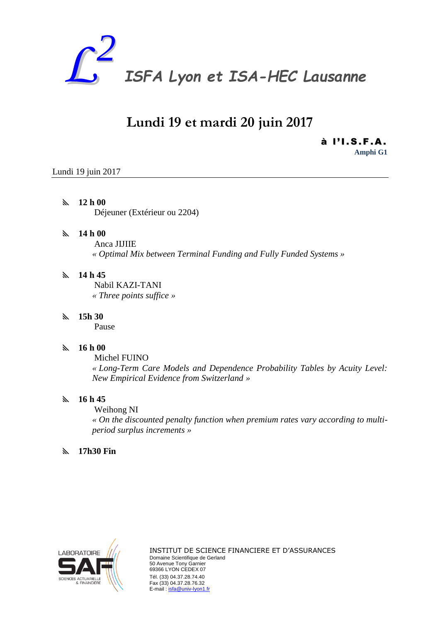

# **Lundi 19 et mardi 20 juin 2017**

à l'I.S.F.A. **Amphi G1**

# Lundi 19 juin 2017

# **12 h 00**

Déjeuner (Extérieur ou 2204)

# **14 h 00**

Anca JIJIIE *« Optimal Mix between Terminal Funding and Fully Funded Systems »*

# **14 h 45**

Nabil KAZI-TANI *« Three points suffice »*

# **15h 30**

Pause

# **16 h 00**

Michel FUINO *« Long-Term Care Models and Dependence Probability Tables by Acuity Level: New Empirical Evidence from Switzerland »*

#### **16 h 45**

Weihong NI *« On the discounted penalty function when premium rates vary according to multiperiod surplus increments »*

#### **17h30 Fin**

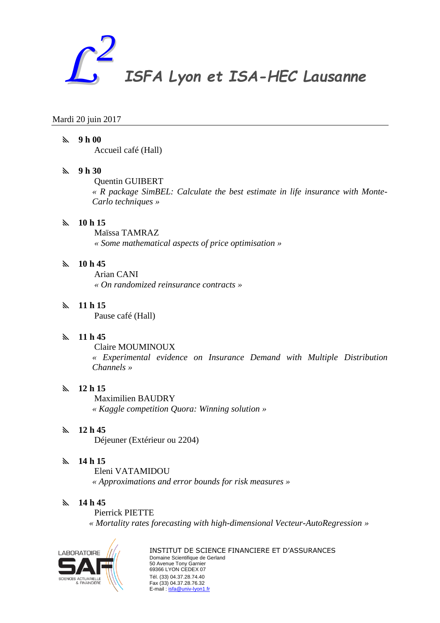

#### Mardi 20 juin 2017

#### **9 h 00**

Accueil café (Hall)

# **9 h 30**

Quentin GUIBERT

*« R package SimBEL: Calculate the best estimate in life insurance with Monte-Carlo techniques »*

# **10 h 15**

Maïssa TAMRAZ *« Some mathematical aspects of price optimisation »*

# **10 h 45**

Arian CANI *« On randomized reinsurance contracts »*

# **11 h 15**

Pause café (Hall)

#### **11 h 45**

Claire MOUMINOUX

*« Experimental evidence on Insurance Demand with Multiple Distribution Channels »*

# **12 h 15**

Maximilien BAUDRY

*« Kaggle competition Quora: Winning solution »*

#### **12 h 45**

Déjeuner (Extérieur ou 2204)

#### **14 h 15**

Eleni VATAMIDOU *« Approximations and error bounds for risk measures »*

#### **14 h 45**

Pierrick PIETTE *« Mortality rates forecasting with high-dimensional Vecteur-AutoRegression »*

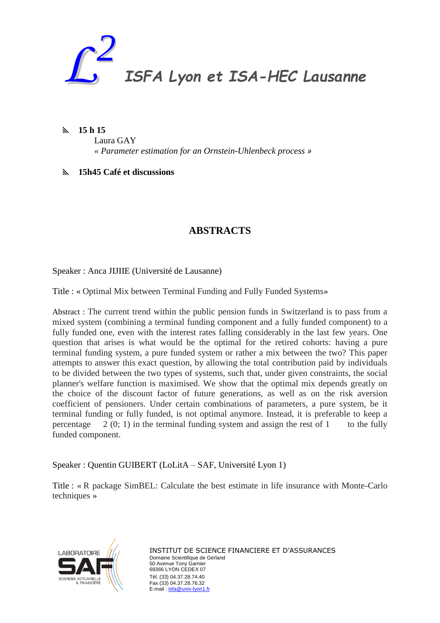

**15 h 15**

Laura GAY

*« Parameter estimation for an Ornstein-Uhlenbeck process »*

**15h45 Café et discussions**

# **ABSTRACTS**

Speaker : Anca JIJIIE (Université de Lausanne)

Title : « Optimal Mix between Terminal Funding and Fully Funded Systems»

Abstract : The current trend within the public pension funds in Switzerland is to pass from a mixed system (combining a terminal funding component and a fully funded component) to a fully funded one, even with the interest rates falling considerably in the last few years. One question that arises is what would be the optimal for the retired cohorts: having a pure terminal funding system, a pure funded system or rather a mix between the two? This paper attempts to answer this exact question, by allowing the total contribution paid by individuals to be divided between the two types of systems, such that, under given constraints, the social planner's welfare function is maximised. We show that the optimal mix depends greatly on the choice of the discount factor of future generations, as well as on the risk aversion coefficient of pensioners. Under certain combinations of parameters, a pure system, be it terminal funding or fully funded, is not optimal anymore. Instead, it is preferable to keep a percentage  $2(0; 1)$  in the terminal funding system and assign the rest of 1 to the fully funded component.

Speaker : Quentin GUIBERT (LoLitA – SAF, Université Lyon 1)

Title : « R package SimBEL: Calculate the best estimate in life insurance with Monte-Carlo techniques »

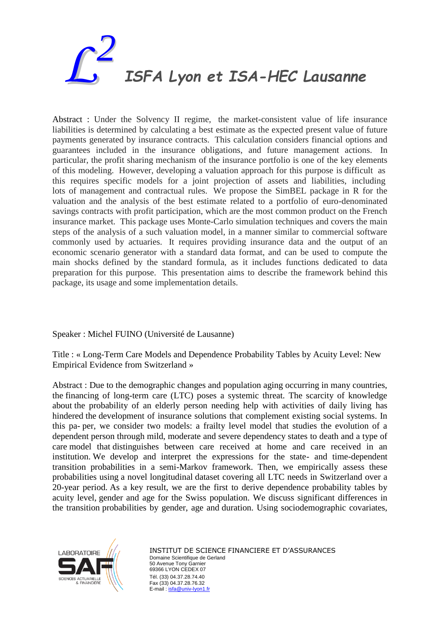

Abstract : Under the Solvency II regime, the market-consistent value of life insurance liabilities is determined by calculating a best estimate as the expected present value of future payments generated by insurance contracts. This calculation considers financial options and guarantees included in the insurance obligations, and future management actions. In particular, the profit sharing mechanism of the insurance portfolio is one of the key elements of this modeling. However, developing a valuation approach for this purpose is difficult as this requires specific models for a joint projection of assets and liabilities, including lots of management and contractual rules. We propose the SimBEL package in R for the valuation and the analysis of the best estimate related to a portfolio of euro-denominated savings contracts with profit participation, which are the most common product on the French insurance market. This package uses Monte-Carlo simulation techniques and covers the main steps of the analysis of a such valuation model, in a manner similar to commercial software commonly used by actuaries. It requires providing insurance data and the output of an economic scenario generator with a standard data format, and can be used to compute the main shocks defined by the standard formula, as it includes functions dedicated to data preparation for this purpose. This presentation aims to describe the framework behind this package, its usage and some implementation details.

Speaker : Michel FUINO (Université de Lausanne)

Title : « Long-Term Care Models and Dependence Probability Tables by Acuity Level: New Empirical Evidence from Switzerland »

Abstract : Due to the demographic changes and population aging occurring in many countries, the financing of long-term care (LTC) poses a systemic threat. The scarcity of knowledge about the probability of an elderly person needing help with activities of daily living has hindered the development of insurance solutions that complement existing social systems. In this pa- per, we consider two models: a frailty level model that studies the evolution of a dependent person through mild, moderate and severe dependency states to death and a type of care model that distinguishes between care received at home and care received in an institution. We develop and interpret the expressions for the state- and time-dependent transition probabilities in a semi-Markov framework. Then, we empirically assess these probabilities using a novel longitudinal dataset covering all LTC needs in Switzerland over a 20-year period. As a key result, we are the first to derive dependence probability tables by acuity level, gender and age for the Swiss population. We discuss significant differences in the transition probabilities by gender, age and duration. Using sociodemographic covariates,

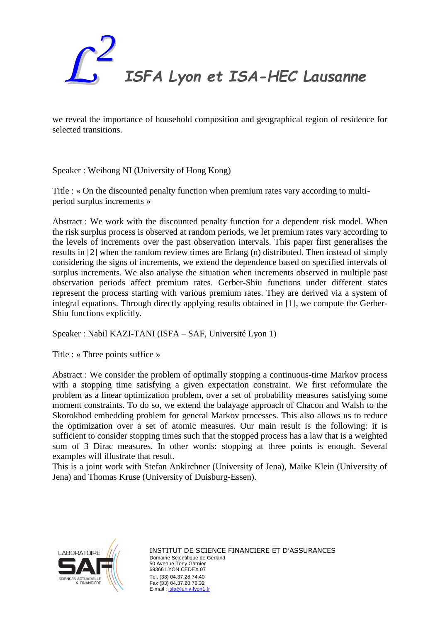

we reveal the importance of household composition and geographical region of residence for selected transitions.

Speaker : Weihong NI (University of Hong Kong)

Title : « On the discounted penalty function when premium rates vary according to multiperiod surplus increments »

Abstract : We work with the discounted penalty function for a dependent risk model. When the risk surplus process is observed at random periods, we let premium rates vary according to the levels of increments over the past observation intervals. This paper first generalises the results in [2] when the random review times are Erlang (n) distributed. Then instead of simply considering the signs of increments, we extend the dependence based on specified intervals of surplus increments. We also analyse the situation when increments observed in multiple past observation periods affect premium rates. Gerber-Shiu functions under different states represent the process starting with various premium rates. They are derived via a system of integral equations. Through directly applying results obtained in [1], we compute the Gerber-Shiu functions explicitly.

Speaker : Nabil KAZI-TANI (ISFA – SAF, Université Lyon 1)

Title : « Three points suffice »

Abstract : We consider the problem of optimally stopping a continuous-time Markov process with a stopping time satisfying a given expectation constraint. We first reformulate the problem as a linear optimization problem, over a set of probability measures satisfying some moment constraints. To do so, we extend the balayage approach of Chacon and Walsh to the Skorokhod embedding problem for general Markov processes. This also allows us to reduce the optimization over a set of atomic measures. Our main result is the following: it is sufficient to consider stopping times such that the stopped process has a law that is a weighted sum of 3 Dirac measures. In other words: stopping at three points is enough. Several examples will illustrate that result.

This is a joint work with Stefan Ankirchner (University of Jena), Maike Klein (University of Jena) and Thomas Kruse (University of Duisburg-Essen).

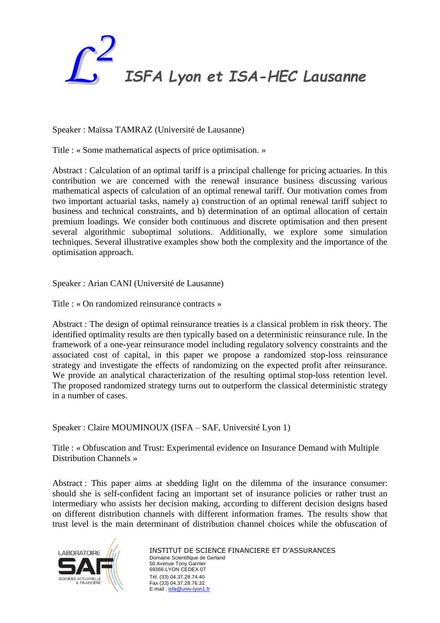

Speaker : Maïssa TAMRAZ (Université de Lausanne)

Title : « Some mathematical aspects of price optimisation. »

Abstract : Calculation of an optimal tariff is a principal challenge for pricing actuaries. In this contribution we are concerned with the renewal insurance business discussing various mathematical aspects of calculation of an optimal renewal tariff. Our motivation comes from two important actuarial tasks, namely a) construction of an optimal renewal tariff subject to business and technical constraints, and b) determination of an optimal allocation of certain premium loadings. We consider both continuous and discrete optimisation and then present several algorithmic suboptimal solutions. Additionally, we explore some simulation techniques. Several illustrative examples show both the complexity and the importance of the optimisation approach.

Speaker : Arian CANI (Université de Lausanne)

Title : « On randomized reinsurance contracts »

Abstract : The design of optimal reinsurance treaties is a classical problem in risk theory. The identified optimality results are then typically based on a deterministic reinsurance rule. In the framework of a one-year reinsurance model including regulatory solvency constraints and the associated cost of capital, in this paper we propose a randomized stop-loss reinsurance strategy and investigate the effects of randomizing on the expected profit after reinsurance. We provide an analytical characterization of the resulting optimal stop-loss retention level. The proposed randomized strategy turns out to outperform the classical deterministic strategy in a number of cases.

Speaker : Claire MOUMINOUX (ISFA – SAF, Université Lyon 1)

Title : « Obfuscation and Trust: Experimental evidence on Insurance Demand with Multiple Distribution Channels »

Abstract : This paper aims at shedding light on the dilemma of the insurance consumer: should she is self-confident facing an important set of insurance policies or rather trust an intermediary who assists her decision making, according to different decision designs based on different distribution channels with different information frames. The results show that trust level is the main determinant of distribution channel choices while the obfuscation of

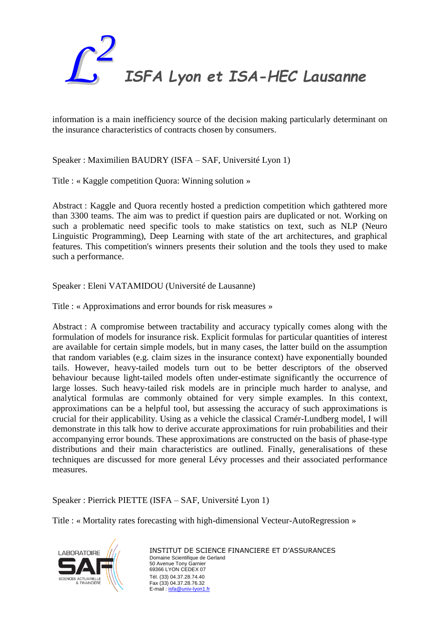

information is a main inefficiency source of the decision making particularly determinant on the insurance characteristics of contracts chosen by consumers.

Speaker : Maximilien BAUDRY (ISFA – SAF, Université Lyon 1)

Title : « Kaggle competition Quora: Winning solution »

Abstract : Kaggle and Quora recently hosted a prediction competition which gathtered more than 3300 teams. The aim was to predict if question pairs are duplicated or not. Working on such a problematic need specific tools to make statistics on text, such as NLP (Neuro Linguistic Programming), Deep Learning with state of the art architectures, and graphical features. This competition's winners presents their solution and the tools they used to make such a performance.

Speaker : Eleni VATAMIDOU (Université de Lausanne)

Title : « Approximations and error bounds for risk measures »

Abstract : A compromise between tractability and accuracy typically comes along with the formulation of models for insurance risk. Explicit formulas for particular quantities of interest are available for certain simple models, but in many cases, the latter build on the assumption that random variables (e.g. claim sizes in the insurance context) have exponentially bounded tails. However, heavy-tailed models turn out to be better descriptors of the observed behaviour because light-tailed models often under-estimate significantly the occurrence of large losses. Such heavy-tailed risk models are in principle much harder to analyse, and analytical formulas are commonly obtained for very simple examples. In this context, approximations can be a helpful tool, but assessing the accuracy of such approximations is crucial for their applicability. Using as a vehicle the classical Cramér-Lundberg model, I will demonstrate in this talk how to derive accurate approximations for ruin probabilities and their accompanying error bounds. These approximations are constructed on the basis of phase-type distributions and their main characteristics are outlined. Finally, generalisations of these techniques are discussed for more general Lévy processes and their associated performance measures.

Speaker : Pierrick PIETTE (ISFA – SAF, Université Lyon 1)

Title : « Mortality rates forecasting with high-dimensional Vecteur-AutoRegression »